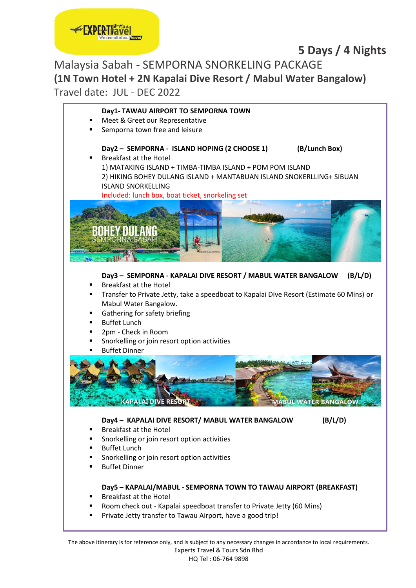# **5 Days / 4 Nights**

Malaysia Sabah - SEMPORNA SNORKELING PACKAGE **(1N Town Hotel + 2N Kapalai Dive Resort / Mabul Water Bangalow)** Travel date: JUL - DEC 2022

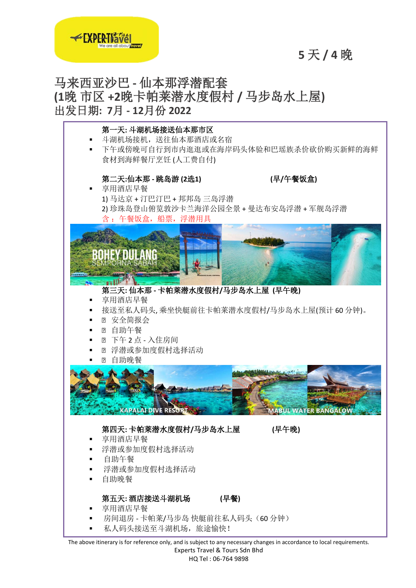**5** 天 **/ 4** 晚







第三天**:** 仙本那 **-** 卡帕莱潜水度假村**/**马步岛水上屋 **(**早午晚**)**

- 享用酒店早餐
- 接送至私人码头, 乘坐快艇前往卡帕莱潜水度假村/马步岛水上屋(预计 60 分钟)。
- 安全简报会
- 自助午餐
- 下午 2 点 入住房间
- 浮潜或参加度假村选择活动
- 自助晚餐



#### 第四天**:** 卡帕莱潜水度假村**/**马步岛水上屋 **(**早午晚**)**

- 享用酒店早餐
- 浮潜或参加度假村选择活动
- 自助午餐
- 浮潜或参加度假村选择活动
- 自助晚餐

## 第五天**:** 酒店接送斗湖机场 **(**早餐**)**

- 享用酒店早餐
- 房间退房 卡帕莱/马步岛 快艇前往私人码头(60分钟)
- 私人码头接送至斗湖机场,旅途愉快!